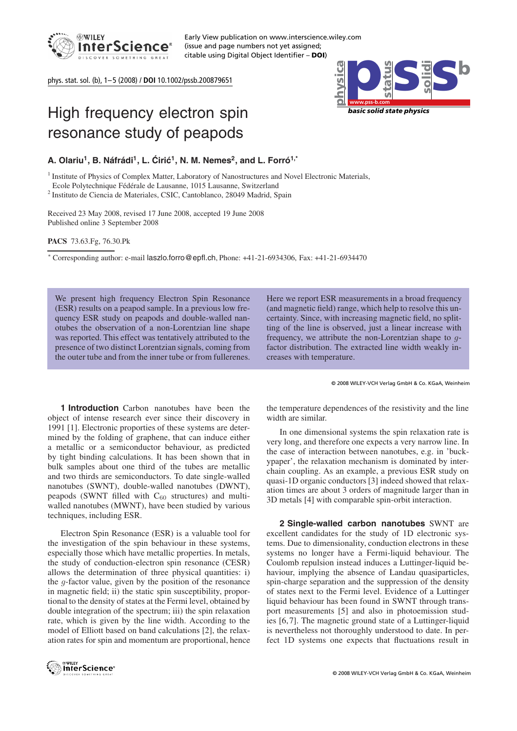

Early View publication on www.interscience.wiley.com (issue and page numbers not yet assigned; citable using Digital Object Identifier – **DOI**) phys. stat. sol. (b), 1–5 (2008) / **DOI** 10.1002/pssb.200879651 **company** of the solution of the solution of the solution of the solution of the solution of the solution of the solution of the solution of the solution of t

## High frequency electron spin resonance study of peapods

## **A. Olariu1, B. Nafr ´ adi ´ 1, L. Ciri ´ c´ 1, N. M. Nemes2, and L. Forro´ 1,\***

<sup>1</sup> Institute of Physics of Complex Matter, Laboratory of Nanostructures and Novel Electronic Materials,

Ecole Polytechnique Fédérale de Lausanne, 1015 Lausanne, Switzerland

<sup>2</sup> Instituto de Ciencia de Materiales, CSIC, Cantoblanco, 28049 Madrid, Spain

Received 23 May 2008, revised 17 June 2008, accepted 19 June 2008 Published online 3 September 2008

**PACS** 73.63.Fg, 76.30.Pk

<sup>∗</sup> Corresponding author: e-mail laszlo.forro@epfl.ch, Phone: +41-21-6934306, Fax: +41-21-6934470

We present high frequency Electron Spin Resonance (ESR) results on a peapod sample. In a previous low frequency ESR study on peapods and double-walled nanotubes the observation of a non-Lorentzian line shape was reported. This effect was tentatively attributed to the presence of two distinct Lorentzian signals, coming from the outer tube and from the inner tube or from fullerenes.

**1 Introduction** Carbon nanotubes have been the object of intense research ever since their discovery in 1991 [1]. Electronic proporties of these systems are determined by the folding of graphene, that can induce either a metallic or a semiconductor behaviour, as predicted by tight binding calculations. It has been shown that in bulk samples about one third of the tubes are metallic and two thirds are semiconductors. To date single-walled nanotubes (SWNT), double-walled nanotubes (DWNT), peapods (SWNT filled with  $C_{60}$  structures) and multiwalled nanotubes (MWNT), have been studied by various techniques, including ESR.

Electron Spin Resonance (ESR) is a valuable tool for the investigation of the spin behaviour in these systems, especially those which have metallic properties. In metals, the study of conduction-electron spin resonance (CESR) allows the determination of three physical quantities: i) the  $q$ -factor value, given by the position of the resonance in magnetic field; ii) the static spin susceptibility, proportional to the density of states at the Fermi level, obtained by double integration of the spectrum; iii) the spin relaxation rate, which is given by the line width. According to the model of Elliott based on band calculations [2], the relaxation rates for spin and momentum are proportional, hence



Here we report ESR measurements in a broad frequency (and magnetic field) range, which help to resolve this uncertainty. Since, with increasing magnetic field, no splitting of the line is observed, just a linear increase with frequency, we attribute the non-Lorentzian shape to gfactor distribution. The extracted line width weakly increases with temperature.

© 2008 WILEY-VCH Verlag GmbH & Co. KGaA, Weinheim

the temperature dependences of the resistivity and the line width are similar.

In one dimensional systems the spin relaxation rate is very long, and therefore one expects a very narrow line. In the case of interaction between nanotubes, e.g. in 'buckypaper', the relaxation mechanism is dominated by interchain coupling. As an example, a previous ESR study on quasi-1D organic conductors [3] indeed showed that relaxation times are about 3 orders of magnitude larger than in 3D metals [4] with comparable spin-orbit interaction.

**2 Single-walled carbon nanotubes** SWNT are excellent candidates for the study of 1D electronic systems. Due to dimensionality, conduction electrons in these systems no longer have a Fermi-liquid behaviour. The Coulomb repulsion instead induces a Luttinger-liquid behaviour, implying the absence of Landau quasiparticles, spin-charge separation and the suppression of the density of states next to the Fermi level. Evidence of a Luttinger liquid behaviour has been found in SWNT through transport measurements [5] and also in photoemission studies [6,7]. The magnetic ground state of a Luttinger-liquid is nevertheless not thoroughly understood to date. In perfect 1D systems one expects that fluctuations result in

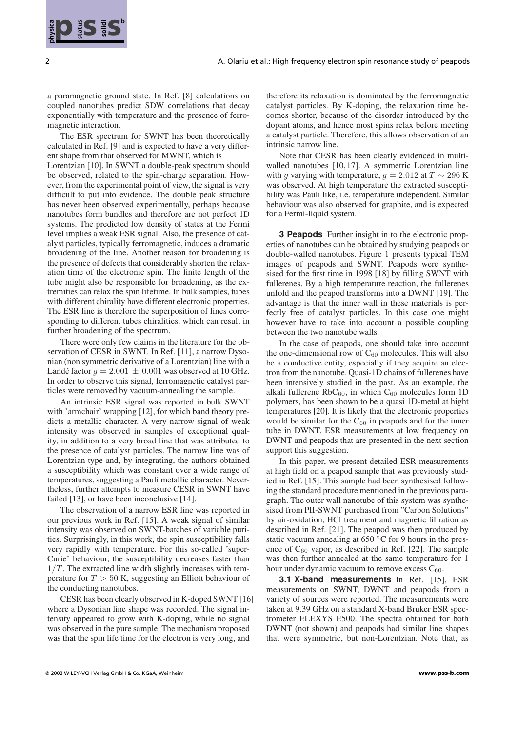a paramagnetic ground state. In Ref. [8] calculations on coupled nanotubes predict SDW correlations that decay exponentially with temperature and the presence of ferromagnetic interaction.

**b**

The ESR spectrum for SWNT has been theoretically calculated in Ref. [9] and is expected to have a very different shape from that observed for MWNT, which is

Lorentzian [10]. In SWNT a double-peak spectrum should be observed, related to the spin-charge separation. However, from the experimental point of view, the signal is very difficult to put into evidence. The double peak structure has never been observed experimentally, perhaps because nanotubes form bundles and therefore are not perfect 1D systems. The predicted low density of states at the Fermi level implies a weak ESR signal. Also, the presence of catalyst particles, typically ferromagnetic, induces a dramatic broadening of the line. Another reason for broadening is the presence of defects that considerably shorten the relaxation time of the electronic spin. The finite length of the tube might also be responsible for broadening, as the extremities can relax the spin lifetime. In bulk samples, tubes with different chirality have different electronic properties. The ESR line is therefore the superposition of lines corresponding to different tubes chiralities, which can result in further broadening of the spectrum.

There were only few claims in the literature for the observation of CESR in SWNT. In Ref. [11], a narrow Dysonian (non symmetric derivative of a Lorentzian) line with a Landé factor  $g = 2.001 \pm 0.001$  was observed at 10 GHz. In order to observe this signal, ferromagnetic catalyst particles were removed by vacuum-annealing the sample.

An intrinsic ESR signal was reported in bulk SWNT with 'armchair' wrapping [12], for which band theory predicts a metallic character. A very narrow signal of weak intensity was observed in samples of exceptional quality, in addition to a very broad line that was attributed to the presence of catalyst particles. The narrow line was of Lorentzian type and, by integrating, the authors obtained a susceptibility which was constant over a wide range of temperatures, suggesting a Pauli metallic character. Nevertheless, further attempts to measure CESR in SWNT have failed [13], or have been inconclusive [14].

The observation of a narrow ESR line was reported in our previous work in Ref. [15]. A weak signal of similar intensity was observed on SWNT-batches of variable purities. Surprisingly, in this work, the spin susceptibility falls very rapidly with temperature. For this so-called 'super-Curie' behaviour, the susceptibility decreases faster than  $1/T$ . The extracted line width slightly increases with temperature for  $T > 50$  K, suggesting an Elliott behaviour of the conducting nanotubes.

CESR has been clearly observed in K-doped SWNT [16] where a Dysonian line shape was recorded. The signal intensity appeared to grow with K-doping, while no signal was observed in the pure sample. The mechanism proposed was that the spin life time for the electron is very long, and

therefore its relaxation is dominated by the ferromagnetic catalyst particles. By K-doping, the relaxation time becomes shorter, because of the disorder introduced by the dopant atoms, and hence most spins relax before meeting a catalyst particle. Therefore, this allows observation of an intrinsic narrow line.

Note that CESR has been clearly evidenced in multiwalled nanotubes [10,17]. A symmetric Lorentzian line with q varying with temperature,  $q = 2.012$  at  $T \sim 296$  K was observed. At high temperature the extracted susceptibility was Pauli like, i.e. temperature independent. Similar behaviour was also observed for graphite, and is expected for a Fermi-liquid system.

**3 Peapods** Further insight in to the electronic properties of nanotubes can be obtained by studying peapods or double-walled nanotubes. Figure 1 presents typical TEM images of peapods and SWNT. Peapods were synthesised for the first time in 1998 [18] by filling SWNT with fullerenes. By a high temperature reaction, the fullerenes unfold and the peapod transforms into a DWNT [19]. The advantage is that the inner wall in these materials is perfectly free of catalyst particles. In this case one might however have to take into account a possible coupling between the two nanotube walls.

In the case of peapods, one should take into account the one-dimensional row of  $C_{60}$  molecules. This will also be a conductive entity, especially if they acquire an electron from the nanotube. Quasi-1D chains of fullerenes have been intensively studied in the past. As an example, the alkali fullerene  $RbC_{60}$ , in which  $C_{60}$  molecules form 1D polymers, has been shown to be a quasi 1D-metal at hight temperatures [20]. It is likely that the electronic properties would be similar for the  $C_{60}$  in peapods and for the inner tube in DWNT. ESR measurements at low frequency on DWNT and peapods that are presented in the next section support this suggestion.

In this paper, we present detailed ESR measurements at high field on a peapod sample that was previously studied in Ref. [15]. This sample had been synthesised following the standard procedure mentioned in the previous paragraph. The outer wall nanotube of this system was synthesised from PII-SWNT purchased from "Carbon Solutions" by air-oxidation, HCl treatment and magnetic filtration as described in Ref. [21]. The peapod was then produced by static vacuum annealing at  $650\,^{\circ}\text{C}$  for 9 hours in the presence of  $C_{60}$  vapor, as described in Ref. [22]. The sample was then further annealed at the same temperature for 1 hour under dynamic vacuum to remove excess  $C_{60}$ .

**3.1 X-band measurements** In Ref. [15], ESR measurements on SWNT, DWNT and peapods from a variety of sources were reported. The measurements were taken at 9.39 GHz on a standard X-band Bruker ESR spectrometer ELEXYS E500. The spectra obtained for both DWNT (not shown) and peapods had similar line shapes that were symmetric, but non-Lorentzian. Note that, as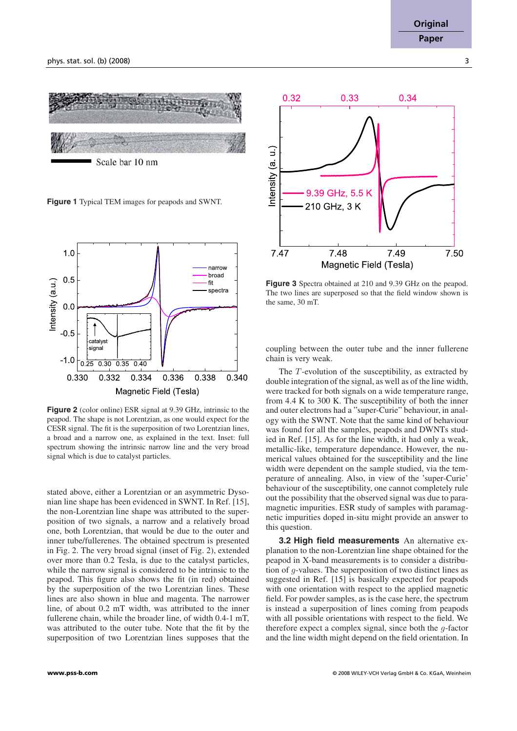

**Figure 1** Typical TEM images for peapods and SWNT.



**Figure 2** (color online) ESR signal at 9.39 GHz, intrinsic to the peapod. The shape is not Lorentzian, as one would expect for the CESR signal. The fit is the superposition of two Lorentzian lines, a broad and a narrow one, as explained in the text. Inset: full spectrum showing the intrinsic narrow line and the very broad signal which is due to catalyst particles.

stated above, either a Lorentzian or an asymmetric Dysonian line shape has been evidenced in SWNT. In Ref. [15], the non-Lorentzian line shape was attributed to the superposition of two signals, a narrow and a relatively broad one, both Lorentzian, that would be due to the outer and inner tube/fullerenes. The obtained spectrum is presented in Fig. 2. The very broad signal (inset of Fig. 2), extended over more than 0.2 Tesla, is due to the catalyst particles, while the narrow signal is considered to be intrinsic to the peapod. This figure also shows the fit (in red) obtained by the superposition of the two Lorentzian lines. These lines are also shown in blue and magenta. The narrower line, of about 0.2 mT width, was attributed to the inner fullerene chain, while the broader line, of width 0.4-1 mT, was attributed to the outer tube. Note that the fit by the superposition of two Lorentzian lines supposes that the



**Figure 3** Spectra obtained at 210 and 9.39 GHz on the peapod. The two lines are superposed so that the field window shown is the same, 30 mT.

coupling between the outer tube and the inner fullerene chain is very weak.

The  $T$ -evolution of the susceptibility, as extracted by double integration of the signal, as well as of the line width, were tracked for both signals on a wide temperature range, from 4.4 K to 300 K. The susceptibility of both the inner and outer electrons had a "super-Curie" behaviour, in analogy with the SWNT. Note that the same kind of behaviour was found for all the samples, peapods and DWNTs studied in Ref. [15]. As for the line width, it had only a weak, metallic-like, temperature dependance. However, the numerical values obtained for the susceptibility and the line width were dependent on the sample studied, via the temperature of annealing. Also, in view of the 'super-Curie' behaviour of the susceptibility, one cannot completely rule out the possibility that the observed signal was due to paramagnetic impurities. ESR study of samples with paramagnetic impurities doped in-situ might provide an answer to this question.

**3.2 High field measurements** An alternative explanation to the non-Lorentzian line shape obtained for the peapod in X-band measurements is to consider a distribution of g-values. The superposition of two distinct lines as suggested in Ref. [15] is basically expected for peapods with one orientation with respect to the applied magnetic field. For powder samples, as is the case here, the spectrum is instead a superposition of lines coming from peapods with all possible orientations with respect to the field. We therefore expect a complex signal, since both the  $q$ -factor and the line width might depend on the field orientation. In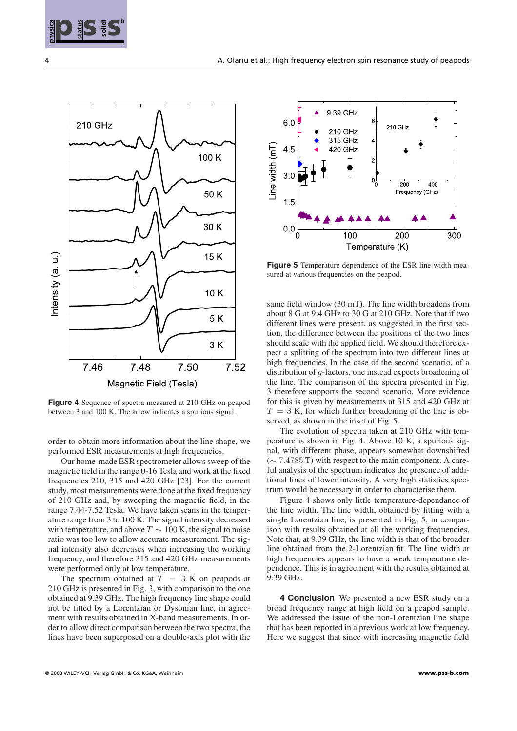



**Figure 4** Sequence of spectra measured at 210 GHz on peapod between 3 and 100 K. The arrow indicates a spurious signal.

order to obtain more information about the line shape, we performed ESR measurements at high frequencies.

Our home-made ESR spectrometer allows sweep of the magnetic field in the range 0-16 Tesla and work at the fixed frequencies 210, 315 and 420 GHz [23]. For the current study, most measurements were done at the fixed frequency of 210 GHz and, by sweeping the magnetic field, in the range 7.44-7.52 Tesla. We have taken scans in the temperature range from 3 to 100 K. The signal intensity decreased with temperature, and above  $T \sim 100$  K, the signal to noise ratio was too low to allow accurate measurement. The signal intensity also decreases when increasing the working frequency, and therefore 315 and 420 GHz measurements were performed only at low temperature.

The spectrum obtained at  $T = 3$  K on peapods at 210 GHz is presented in Fig. 3, with comparison to the one obtained at 9.39 GHz. The high frequency line shape could not be fitted by a Lorentzian or Dysonian line, in agreement with results obtained in X-band measurements. In order to allow direct comparison between the two spectra, the lines have been superposed on a double-axis plot with the



**Figure 5** Temperature dependence of the ESR line width measured at various frequencies on the peapod.

same field window (30 mT). The line width broadens from about 8 G at 9.4 GHz to 30 G at 210 GHz. Note that if two different lines were present, as suggested in the first section, the difference between the positions of the two lines should scale with the applied field. We should therefore expect a splitting of the spectrum into two different lines at high frequencies. In the case of the second scenario, of a distribution of g-factors, one instead expects broadening of the line. The comparison of the spectra presented in Fig. 3 therefore supports the second scenario. More evidence for this is given by measurements at 315 and 420 GHz at  $T = 3$  K, for which further broadening of the line is observed, as shown in the inset of Fig. 5.

The evolution of spectra taken at 210 GHz with temperature is shown in Fig. 4. Above 10 K, a spurious signal, with different phase, appears somewhat downshifted (<sup>∼</sup> <sup>7</sup>.<sup>4785</sup> T) with respect to the main component. A careful analysis of the spectrum indicates the presence of additional lines of lower intensity. A very high statistics spectrum would be necessary in order to characterise them.

Figure 4 shows only little temperature-dependance of the line width. The line width, obtained by fitting with a single Lorentzian line, is presented in Fig. 5, in comparison with results obtained at all the working frequencies. Note that, at 9.39 GHz, the line width is that of the broader line obtained from the 2-Lorentzian fit. The line width at high frequencies appears to have a weak temperature dependence. This is in agreement with the results obtained at 9.39 GHz.

**4 Conclusion** We presented a new ESR study on a broad frequency range at high field on a peapod sample. We addressed the issue of the non-Lorentzian line shape that has been reported in a previous work at low frequency. Here we suggest that since with increasing magnetic field